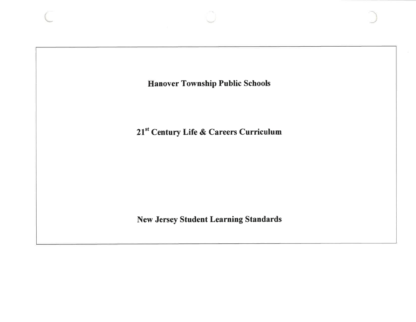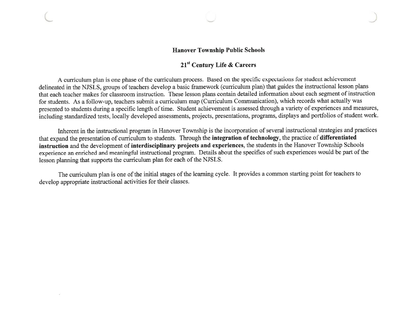## **Hanover Township Public Schools**

## 21<sup>st</sup> Century Life & Careers

A curriculum plan is one phase of the curriculum process. Based on the specific expectations for student achievement delineated in the NJSLS, groups of teachers develop a basic framework (curriculum plan) that guides the instructional lesson plans that each teacher makes for classroom instruction. These lesson plans contain detailed information about each segment of instruction for students. As a follow-up, teachers submit a curriculum map (Curriculum Communication), which records what actually was presented to students during a specific length of time. Student achievement is assessed through a variety of experiences and measures, including standardized tests, locally developed assessments, projects, presentations, programs, displays and portfolios of student work.

Inherent in the instructional program in Hanover Township is the incorporation of several instructional strategies and practices that expand the presentation of curriculum to students. Through the integration of technology, the practice of differentiated instruction and the development of interdisciplinary projects and experiences, the students in the Hanover Township Schools experience an enriched and meaningful instructional program. Details about the specifics of such experiences would be part of the lesson planning that supports the curriculum plan for each of the NJSLS.

The curriculum plan is one of the initial stages of the learning cycle. It provides a common starting point for teachers to develop appropriate instructional activities for their classes.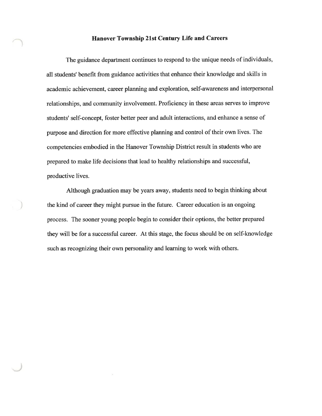#### **Hanover Township 21st Century Life and Careers**

The guidance department continues to respond to the unique needs of individuals, all students' benefit from guidance activities that enhance their knowledge and skills in academic achievement, career planning and exploration, self-awareness and interpersonal relationships, and community involvement. Proficiency in these areas serves to improve students' self-concept, foster better peer and adult interactions, and enhance a sense of purpose and direction for more effective planning and control of their own lives. The competencies embodied in the Hanover Township District result in students who are prepared to make life decisions that lead to healthy relationships and successful, productive lives.

Although graduation may be years away, students need to begin thinking about the kind of career they might pursue in the future. Career education is an ongoing process. The sooner young people begin to consider their options, the better prepared they will be for a successful career. At this stage, the focus should be on self-knowledge such as recognizing their own personality and learning to work with others.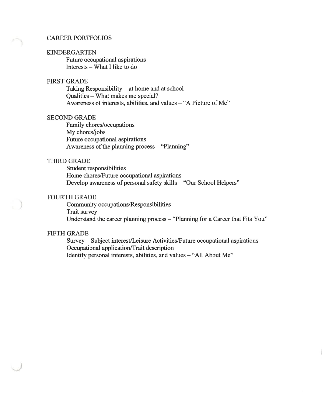#### **CAREER PORTFOLIOS**

#### **KINDERGARTEN**

Future occupational aspirations Interests - What I like to do

## **FIRST GRADE**

Taking Responsibility - at home and at school Qualities - What makes me special? Awareness of interests, abilities, and values  $-$  "A Picture of Me"

#### **SECOND GRADE**

Family chores/occupations My chores/jobs Future occupational aspirations Awareness of the planning process - "Planning"

## **THIRD GRADE**

Student responsibilities Home chores/Future occupational aspirations Develop awareness of personal safety skills - "Our School Helpers"

## **FOURTH GRADE**

Community occupations/Responsibilities Trait survey Understand the career planning process - "Planning for a Career that Fits You"

#### **FIFTH GRADE**

Survey - Subject interest/Leisure Activities/Future occupational aspirations Occupational application/Trait description Identify personal interests, abilities, and values - "All About Me"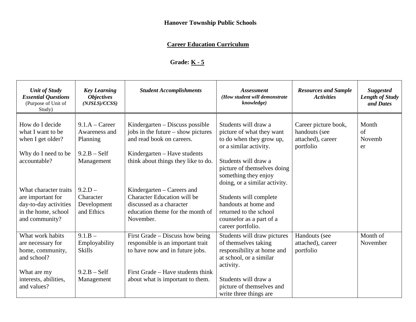# **Hanover Township Public Schools**

# **Career Education Curriculum**

# **Grade: K - 5**

| <b>Unit of Study</b><br><b>Essential Questions</b><br>(Purpose of Unit of<br>Study)                          | <b>Key Learning</b><br><b>Objectives</b><br>(NJSLS)/CCSS) | <b>Student Accomplishments</b>                                                                                                                | <b>Assessment</b><br>(How student will demonstrate<br>knowledge)                                                          | <b>Resources and Sample</b><br><b>Activities</b>                        | <b>Suggested</b><br><b>Length of Study</b><br>and Dates |
|--------------------------------------------------------------------------------------------------------------|-----------------------------------------------------------|-----------------------------------------------------------------------------------------------------------------------------------------------|---------------------------------------------------------------------------------------------------------------------------|-------------------------------------------------------------------------|---------------------------------------------------------|
| How do I decide<br>what I want to be<br>when I get older?                                                    | $9.1.A - Career$<br>Awareness and<br>Planning             | Kindergarten – Discuss possible<br>jobs in the future – show pictures<br>and read book on careers.                                            | Students will draw a<br>picture of what they want<br>to do when they grow up,<br>or a similar activity.                   | Career picture book,<br>handouts (see<br>attached), career<br>portfolio | Month<br>of<br>Novemb<br>er                             |
| Why do I need to be<br>accountable?                                                                          | $9.2.B - Self$<br>Management                              | Kindergarten – Have students<br>think about things they like to do.                                                                           | Students will draw a<br>picture of themselves doing<br>something they enjoy<br>doing, or a similar activity.              |                                                                         |                                                         |
| What character traits<br>are important for<br>day-to-day activities<br>in the home, school<br>and community? | $9.2.D -$<br>Character<br>Development<br>and Ethics       | Kindergarten – Careers and<br><b>Character Education will be</b><br>discussed as a character<br>education theme for the month of<br>November. | Students will complete<br>handouts at home and<br>returned to the school<br>counselor as a part of a<br>career portfolio. |                                                                         |                                                         |
| What work habits<br>are necessary for<br>home, community,<br>and school?                                     | $9.1.B -$<br>Employability<br><b>Skills</b>               | First Grade – Discuss how being<br>responsible is an important trait<br>to have now and in future jobs.                                       | Students will draw pictures<br>of themselves taking<br>responsibility at home and<br>at school, or a similar<br>activity. | Handouts (see<br>attached), career<br>portfolio                         | Month of<br>November                                    |
| What are my<br>interests, abilities,<br>and values?                                                          | $9.2.B - Self$<br>Management                              | First Grade – Have students think<br>about what is important to them.                                                                         | Students will draw a<br>picture of themselves and<br>write three things are                                               |                                                                         |                                                         |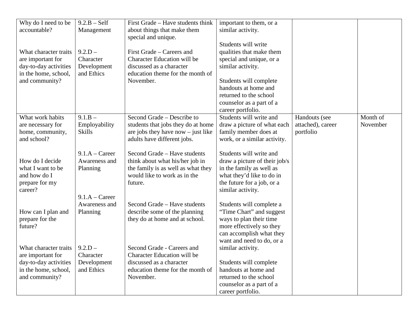| Why do I need to be       | $9.2.B - Self$   | First Grade – Have students think    | important to them, or a       |                   |          |
|---------------------------|------------------|--------------------------------------|-------------------------------|-------------------|----------|
| accountable?              | Management       | about things that make them          | similar activity.             |                   |          |
|                           |                  | special and unique.                  |                               |                   |          |
|                           |                  |                                      | Students will write           |                   |          |
| What character traits     | $9.2.D -$        | First Grade – Careers and            | qualities that make them      |                   |          |
| are important for         | Character        | <b>Character Education will be</b>   | special and unique, or a      |                   |          |
| day-to-day activities     | Development      | discussed as a character             | similar activity.             |                   |          |
| in the home, school,      | and Ethics       | education theme for the month of     |                               |                   |          |
| and community?            |                  | November.                            | Students will complete        |                   |          |
|                           |                  |                                      | handouts at home and          |                   |          |
|                           |                  |                                      | returned to the school        |                   |          |
|                           |                  |                                      | counselor as a part of a      |                   |          |
|                           |                  |                                      | career portfolio.             |                   |          |
| What work habits          | $9.1.B -$        | Second Grade – Describe to           | Students will write and       | Handouts (see     | Month of |
| are necessary for         | Employability    | students that jobs they do at home   | draw a picture of what each   | attached), career | November |
| home, community,          | <b>Skills</b>    | are jobs they have now $-$ just like | family member does at         | portfolio         |          |
| and school?               |                  | adults have different jobs.          | work, or a similar activity.  |                   |          |
|                           |                  |                                      |                               |                   |          |
|                           | $9.1.A - Career$ | Second Grade - Have students         | Students will write and       |                   |          |
| How do I decide           | Awareness and    | think about what his/her job in      | draw a picture of their job/s |                   |          |
| what I want to be         | Planning         | the family is as well as what they   | in the family as well as      |                   |          |
| and how do I              |                  | would like to work as in the         | what they'd like to do in     |                   |          |
| prepare for my<br>career? |                  | future.                              | the future for a job, or a    |                   |          |
|                           | $9.1.A - Career$ |                                      | similar activity.             |                   |          |
|                           | Awareness and    | Second Grade – Have students         | Students will complete a      |                   |          |
| How can I plan and        | Planning         | describe some of the planning        | "Time Chart" and suggest      |                   |          |
| prepare for the           |                  | they do at home and at school.       | ways to plan their time       |                   |          |
| future?                   |                  |                                      | more effectively so they      |                   |          |
|                           |                  |                                      | can accomplish what they      |                   |          |
|                           |                  |                                      | want and need to do, or a     |                   |          |
| What character traits     | $9.2.D -$        | Second Grade - Careers and           | similar activity.             |                   |          |
| are important for         | Character        | Character Education will be          |                               |                   |          |
| day-to-day activities     | Development      | discussed as a character             | Students will complete        |                   |          |
| in the home, school,      | and Ethics       | education theme for the month of     | handouts at home and          |                   |          |
| and community?            |                  | November.                            | returned to the school        |                   |          |
|                           |                  |                                      | counselor as a part of a      |                   |          |
|                           |                  |                                      | career portfolio.             |                   |          |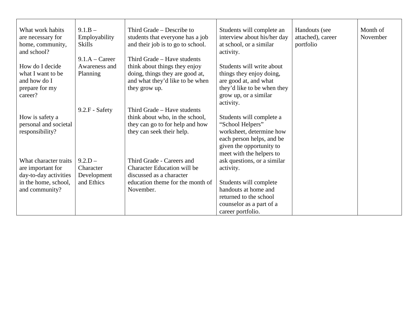| What work habits      | $9.1.B -$        | Third Grade – Describe to          | Students will complete an   | Handouts (see     | Month of |
|-----------------------|------------------|------------------------------------|-----------------------------|-------------------|----------|
| are necessary for     | Employability    | students that everyone has a job   | interview about his/her day | attached), career | November |
| home, community,      | <b>Skills</b>    | and their job is to go to school.  | at school, or a similar     | portfolio         |          |
| and school?           |                  |                                    | activity.                   |                   |          |
|                       | $9.1.A - Career$ | Third Grade - Have students        |                             |                   |          |
| How do I decide       | Awareness and    | think about things they enjoy      | Students will write about   |                   |          |
| what I want to be     | Planning         | doing, things they are good at,    | things they enjoy doing,    |                   |          |
| and how do I          |                  | and what they'd like to be when    | are good at, and what       |                   |          |
| prepare for my        |                  | they grow up.                      | they'd like to be when they |                   |          |
| career?               |                  |                                    | grow up, or a similar       |                   |          |
|                       |                  |                                    | activity.                   |                   |          |
|                       | 9.2.F - Safety   | Third Grade – Have students        |                             |                   |          |
| How is safety a       |                  | think about who, in the school,    | Students will complete a    |                   |          |
| personal and societal |                  | they can go to for help and how    | "School Helpers"            |                   |          |
| responsibility?       |                  | they can seek their help.          | worksheet, determine how    |                   |          |
|                       |                  |                                    | each person helps, and be   |                   |          |
|                       |                  |                                    | given the opportunity to    |                   |          |
|                       |                  |                                    | meet with the helpers to    |                   |          |
| What character traits | $9.2.D -$        | Third Grade - Careers and          | ask questions, or a similar |                   |          |
| are important for     | Character        | <b>Character Education will be</b> | activity.                   |                   |          |
| day-to-day activities | Development      | discussed as a character           |                             |                   |          |
| in the home, school,  | and Ethics       | education theme for the month of   | Students will complete      |                   |          |
| and community?        |                  | November.                          | handouts at home and        |                   |          |
|                       |                  |                                    | returned to the school      |                   |          |
|                       |                  |                                    | counselor as a part of a    |                   |          |
|                       |                  |                                    | career portfolio.           |                   |          |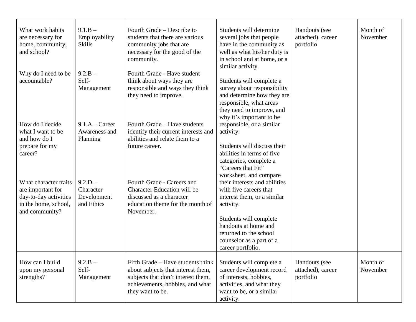| What work habits<br>are necessary for         | $9.1.B -$<br>Employability | Fourth Grade – Describe to<br>students that there are various    | Students will determine<br>several jobs that people   | Handouts (see<br>attached), career | Month of<br>November |
|-----------------------------------------------|----------------------------|------------------------------------------------------------------|-------------------------------------------------------|------------------------------------|----------------------|
| home, community,                              | <b>Skills</b>              | community jobs that are                                          | have in the community as                              | portfolio                          |                      |
| and school?                                   |                            | necessary for the good of the                                    | well as what his/her duty is                          |                                    |                      |
|                                               |                            | community.                                                       | in school and at home, or a                           |                                    |                      |
|                                               |                            |                                                                  | similar activity.                                     |                                    |                      |
| Why do I need to be                           | $9.2.B -$                  | Fourth Grade - Have student                                      |                                                       |                                    |                      |
| accountable?                                  | Self-                      | think about ways they are                                        | Students will complete a                              |                                    |                      |
|                                               | Management                 | responsible and ways they think                                  | survey about responsibility                           |                                    |                      |
|                                               |                            | they need to improve.                                            | and determine how they are                            |                                    |                      |
|                                               |                            |                                                                  | responsible, what areas                               |                                    |                      |
|                                               |                            |                                                                  | they need to improve, and                             |                                    |                      |
|                                               |                            |                                                                  | why it's important to be                              |                                    |                      |
| How do I decide                               | $9.1.A - Career$           | Fourth Grade - Have students                                     | responsible, or a similar                             |                                    |                      |
| what I want to be                             | Awareness and              | identify their current interests and                             | activity.                                             |                                    |                      |
| and how do I                                  | Planning                   | abilities and relate them to a                                   |                                                       |                                    |                      |
| prepare for my                                |                            | future career.                                                   | Students will discuss their                           |                                    |                      |
| career?                                       |                            |                                                                  | abilities in terms of five                            |                                    |                      |
|                                               |                            |                                                                  | categories, complete a                                |                                    |                      |
|                                               |                            |                                                                  | "Careers that Fit"                                    |                                    |                      |
|                                               |                            |                                                                  | worksheet, and compare                                |                                    |                      |
| What character traits                         | $9.2.D -$                  | Fourth Grade - Careers and<br><b>Character Education will be</b> | their interests and abilities                         |                                    |                      |
| are important for                             | Character                  | discussed as a character                                         | with five careers that<br>interest them, or a similar |                                    |                      |
| day-to-day activities<br>in the home, school, | Development<br>and Ethics  | education theme for the month of                                 | activity.                                             |                                    |                      |
| and community?                                |                            | November.                                                        |                                                       |                                    |                      |
|                                               |                            |                                                                  | Students will complete                                |                                    |                      |
|                                               |                            |                                                                  | handouts at home and                                  |                                    |                      |
|                                               |                            |                                                                  | returned to the school                                |                                    |                      |
|                                               |                            |                                                                  | counselor as a part of a                              |                                    |                      |
|                                               |                            |                                                                  | career portfolio.                                     |                                    |                      |
|                                               |                            |                                                                  |                                                       |                                    |                      |
| How can I build                               | $9.2.B -$                  | Fifth Grade – Have students think                                | Students will complete a                              | Handouts (see                      | Month of             |
| upon my personal                              | Self-                      | about subjects that interest them,                               | career development record                             | attached), career                  | November             |
| strengths?                                    | Management                 | subjects that don't interest them,                               | of interests, hobbies,                                | portfolio                          |                      |
|                                               |                            | achievements, hobbies, and what                                  | activities, and what they                             |                                    |                      |
|                                               |                            | they want to be.                                                 | want to be, or a similar                              |                                    |                      |
|                                               |                            |                                                                  | activity.                                             |                                    |                      |